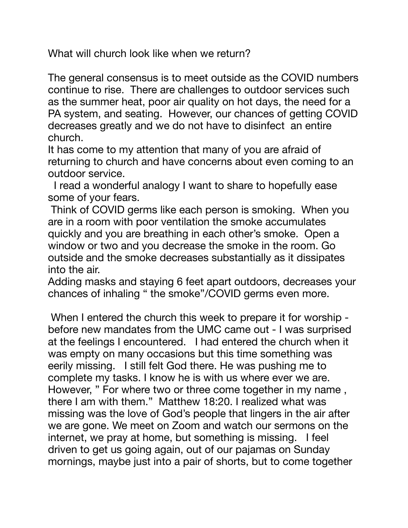What will church look like when we return?

The general consensus is to meet outside as the COVID numbers continue to rise. There are challenges to outdoor services such as the summer heat, poor air quality on hot days, the need for a PA system, and seating. However, our chances of getting COVID decreases greatly and we do not have to disinfect an entire church.

It has come to my attention that many of you are afraid of returning to church and have concerns about even coming to an outdoor service.

 I read a wonderful analogy I want to share to hopefully ease some of your fears.

 Think of COVID germs like each person is smoking. When you are in a room with poor ventilation the smoke accumulates quickly and you are breathing in each other's smoke. Open a window or two and you decrease the smoke in the room. Go outside and the smoke decreases substantially as it dissipates into the air.

Adding masks and staying 6 feet apart outdoors, decreases your chances of inhaling " the smoke"/COVID germs even more.

 When I entered the church this week to prepare it for worship before new mandates from the UMC came out - I was surprised at the feelings I encountered. I had entered the church when it was empty on many occasions but this time something was eerily missing. I still felt God there. He was pushing me to complete my tasks. I know he is with us where ever we are. However, " For where two or three come together in my name , there I am with them." Matthew 18:20. I realized what was missing was the love of God's people that lingers in the air after we are gone. We meet on Zoom and watch our sermons on the internet, we pray at home, but something is missing. I feel driven to get us going again, out of our pajamas on Sunday mornings, maybe just into a pair of shorts, but to come together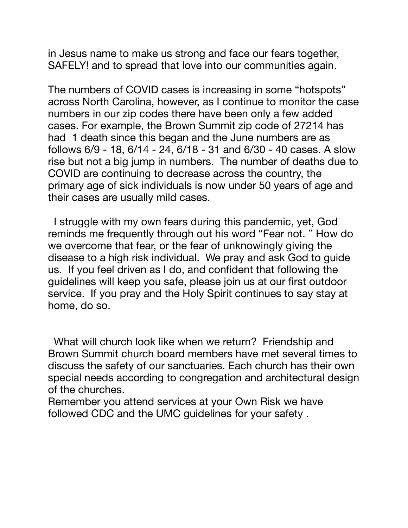in Jesus name to make us strong and face our fears together, SAFELY! and to spread that love into our communities again.

The numbers of COVID cases is increasing in some "hotspots" across North Carolina, however, as I continue to monitor the case numbers in our zip codes there have been only a few added cases. For example, the Brown Summit zip code of 27214 has had 1 death since this began and the June numbers are as follows 6/9 - 18, 6/14 - 24, 6/18 - 31 and 6/30 - 40 cases. A slow rise but not a big jump in numbers. The number of deaths due to COVID are continuing to decrease across the country, the primary age of sick individuals is now under 50 years of age and their cases are usually mild cases.

 I struggle with my own fears during this pandemic, yet, God reminds me frequently through out his word "Fear not. " How do we overcome that fear, or the fear of unknowingly giving the disease to a high risk individual. We pray and ask God to guide us. If you feel driven as I do, and confident that following the guidelines will keep you safe, please join us at our first outdoor service. If you pray and the Holy Spirit continues to say stay at home, do so.

 What will church look like when we return? Friendship and Brown Summit church board members have met several times to discuss the safety of our sanctuaries. Each church has their own special needs according to congregation and architectural design of the churches.

Remember you attend services at your Own Risk we have followed CDC and the UMC guidelines for your safety .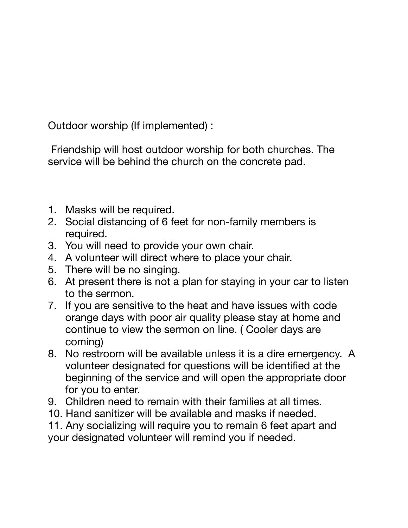Outdoor worship (If implemented) :

 Friendship will host outdoor worship for both churches. The service will be behind the church on the concrete pad.

- 1. Masks will be required.
- 2. Social distancing of 6 feet for non-family members is required.
- 3. You will need to provide your own chair.
- 4. A volunteer will direct where to place your chair.
- 5. There will be no singing.
- 6. At present there is not a plan for staying in your car to listen to the sermon.
- 7. If you are sensitive to the heat and have issues with code orange days with poor air quality please stay at home and continue to view the sermon on line. ( Cooler days are coming)
- 8. No restroom will be available unless it is a dire emergency. A volunteer designated for questions will be identified at the beginning of the service and will open the appropriate door for you to enter.
- 9. Children need to remain with their families at all times.
- 10. Hand sanitizer will be available and masks if needed.
- 11. Any socializing will require you to remain 6 feet apart and your designated volunteer will remind you if needed.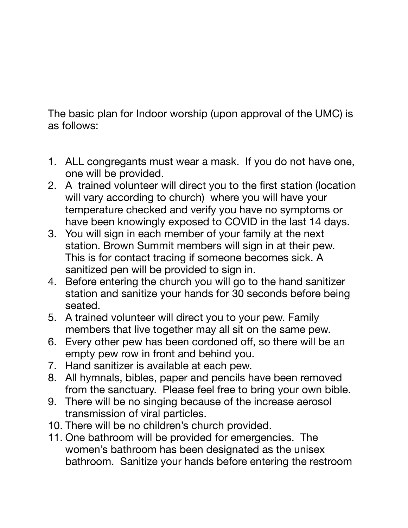The basic plan for Indoor worship (upon approval of the UMC) is as follows:

- 1. ALL congregants must wear a mask. If you do not have one, one will be provided.
- 2. A trained volunteer will direct you to the first station (location will vary according to church) where you will have your temperature checked and verify you have no symptoms or have been knowingly exposed to COVID in the last 14 days.
- 3. You will sign in each member of your family at the next station. Brown Summit members will sign in at their pew. This is for contact tracing if someone becomes sick. A sanitized pen will be provided to sign in.
- 4. Before entering the church you will go to the hand sanitizer station and sanitize your hands for 30 seconds before being seated.
- 5. A trained volunteer will direct you to your pew. Family members that live together may all sit on the same pew.
- 6. Every other pew has been cordoned off, so there will be an empty pew row in front and behind you.
- 7. Hand sanitizer is available at each pew.
- 8. All hymnals, bibles, paper and pencils have been removed from the sanctuary. Please feel free to bring your own bible.
- 9. There will be no singing because of the increase aerosol transmission of viral particles.
- 10. There will be no children's church provided.
- 11. One bathroom will be provided for emergencies. The women's bathroom has been designated as the unisex bathroom. Sanitize your hands before entering the restroom